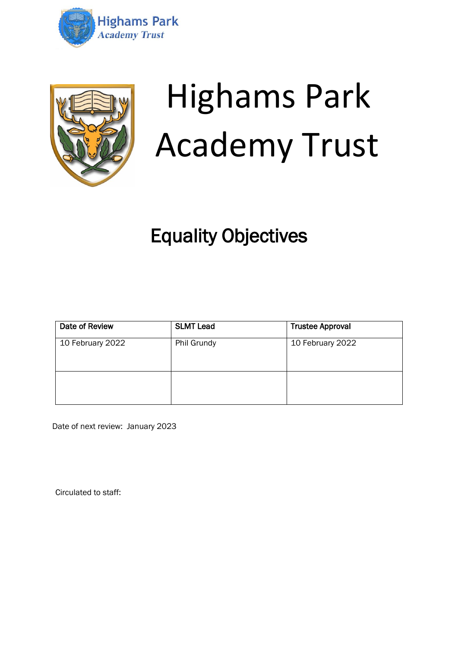



# Highams Park Academy Trust

# Equality Objectives

| Date of Review   | <b>SLMT Lead</b> | <b>Trustee Approval</b> |
|------------------|------------------|-------------------------|
| 10 February 2022 | Phil Grundy      | 10 February 2022        |
|                  |                  |                         |

Date of next review: January 2023

Circulated to staff: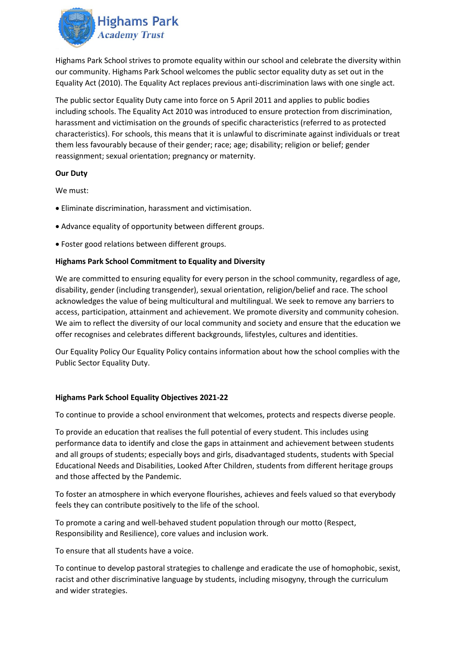

Highams Park School strives to promote equality within our school and celebrate the diversity within our community. Highams Park School welcomes the public sector equality duty as set out in the Equality Act (2010). The Equality Act replaces previous anti‐discrimination laws with one single act.

The public sector Equality Duty came into force on 5 April 2011 and applies to public bodies including schools. The Equality Act 2010 was introduced to ensure protection from discrimination, harassment and victimisation on the grounds of specific characteristics (referred to as protected characteristics). For schools, this means that it is unlawful to discriminate against individuals or treat them less favourably because of their gender; race; age; disability; religion or belief; gender reassignment; sexual orientation; pregnancy or maternity.

#### **Our Duty**

We must:

- Eliminate discrimination, harassment and victimisation.
- Advance equality of opportunity between different groups.
- Foster good relations between different groups.

## **Highams Park School Commitment to Equality and Diversity**

We are committed to ensuring equality for every person in the school community, regardless of age, disability, gender (including transgender), sexual orientation, religion/belief and race. The school acknowledges the value of being multicultural and multilingual. We seek to remove any barriers to access, participation, attainment and achievement. We promote diversity and community cohesion. We aim to reflect the diversity of our local community and society and ensure that the education we offer recognises and celebrates different backgrounds, lifestyles, cultures and identities.

Our Equality Policy Our Equality Policy contains information about how the school complies with the Public Sector Equality Duty.

#### **Highams Park School Equality Objectives 2021-22**

To continue to provide a school environment that welcomes, protects and respects diverse people.

To provide an education that realises the full potential of every student. This includes using performance data to identify and close the gaps in attainment and achievement between students and all groups of students; especially boys and girls, disadvantaged students, students with Special Educational Needs and Disabilities, Looked After Children, students from different heritage groups and those affected by the Pandemic.

To foster an atmosphere in which everyone flourishes, achieves and feels valued so that everybody feels they can contribute positively to the life of the school.

To promote a caring and well-behaved student population through our motto (Respect, Responsibility and Resilience), core values and inclusion work.

To ensure that all students have a voice.

To continue to develop pastoral strategies to challenge and eradicate the use of homophobic, sexist, racist and other discriminative language by students, including misogyny, through the curriculum and wider strategies.